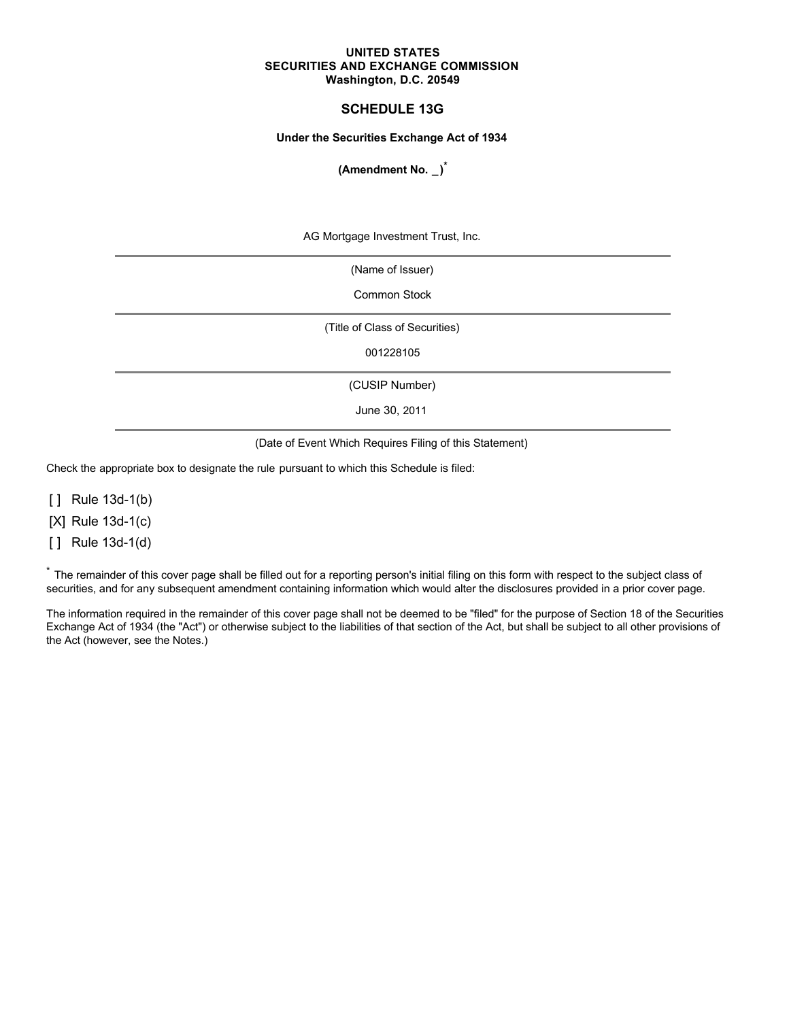#### **UNITED STATES SECURITIES AND EXCHANGE COMMISSION Washington, D.C. 20549**

# **SCHEDULE 13G**

#### **Under the Securities Exchange Act of 1934**

**(Amendment No. \_)\***

AG Mortgage Investment Trust, Inc.

(Name of Issuer)

Common Stock

(Title of Class of Securities)

001228105

(CUSIP Number)

June 30, 2011

(Date of Event Which Requires Filing of this Statement)

Check the appropriate box to designate the rule pursuant to which this Schedule is filed:

[ ] Rule 13d-1(b)

[X] Rule 13d-1(c)

[ ] Rule 13d-1(d)

\* The remainder of this cover page shall be filled out for a reporting person's initial filing on this form with respect to the subject class of securities, and for any subsequent amendment containing information which would alter the disclosures provided in a prior cover page.

The information required in the remainder of this cover page shall not be deemed to be "filed" for the purpose of Section 18 of the Securities Exchange Act of 1934 (the "Act") or otherwise subject to the liabilities of that section of the Act, but shall be subject to all other provisions of the Act (however, see the Notes.)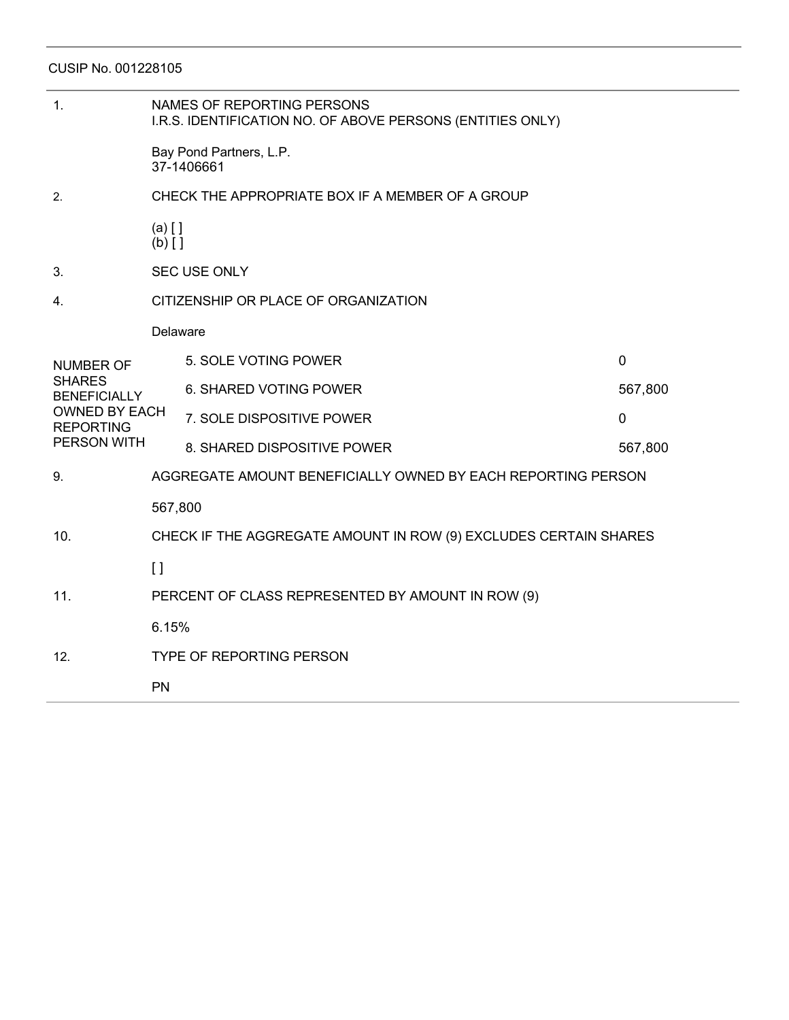CUSIP No. 001228105

| 1.                                                                                                                  | NAMES OF REPORTING PERSONS<br>I.R.S. IDENTIFICATION NO. OF ABOVE PERSONS (ENTITIES ONLY) |                             |                |  |  |  |
|---------------------------------------------------------------------------------------------------------------------|------------------------------------------------------------------------------------------|-----------------------------|----------------|--|--|--|
|                                                                                                                     | Bay Pond Partners, L.P.<br>37-1406661                                                    |                             |                |  |  |  |
| 2.                                                                                                                  | CHECK THE APPROPRIATE BOX IF A MEMBER OF A GROUP                                         |                             |                |  |  |  |
|                                                                                                                     | $(a)$ $[$ $]$<br>$(b)$ []                                                                |                             |                |  |  |  |
| 3.                                                                                                                  | <b>SEC USE ONLY</b>                                                                      |                             |                |  |  |  |
| 4.                                                                                                                  | CITIZENSHIP OR PLACE OF ORGANIZATION                                                     |                             |                |  |  |  |
|                                                                                                                     | Delaware                                                                                 |                             |                |  |  |  |
| <b>NUMBER OF</b><br><b>SHARES</b><br><b>BENEFICIALLY</b><br><b>OWNED BY EACH</b><br><b>REPORTING</b><br>PERSON WITH |                                                                                          | 5. SOLE VOTING POWER        | $\mathbf 0$    |  |  |  |
|                                                                                                                     |                                                                                          | 6. SHARED VOTING POWER      | 567,800        |  |  |  |
|                                                                                                                     |                                                                                          | 7. SOLE DISPOSITIVE POWER   | $\overline{0}$ |  |  |  |
|                                                                                                                     |                                                                                          | 8. SHARED DISPOSITIVE POWER | 567,800        |  |  |  |
| 9.                                                                                                                  | AGGREGATE AMOUNT BENEFICIALLY OWNED BY EACH REPORTING PERSON                             |                             |                |  |  |  |
|                                                                                                                     | 567,800                                                                                  |                             |                |  |  |  |
| 10.                                                                                                                 | CHECK IF THE AGGREGATE AMOUNT IN ROW (9) EXCLUDES CERTAIN SHARES                         |                             |                |  |  |  |
|                                                                                                                     | $\lceil$                                                                                 |                             |                |  |  |  |
| 11.                                                                                                                 | PERCENT OF CLASS REPRESENTED BY AMOUNT IN ROW (9)                                        |                             |                |  |  |  |
|                                                                                                                     | 6.15%                                                                                    |                             |                |  |  |  |
| 12.                                                                                                                 | <b>TYPE OF REPORTING PERSON</b>                                                          |                             |                |  |  |  |
|                                                                                                                     | PN                                                                                       |                             |                |  |  |  |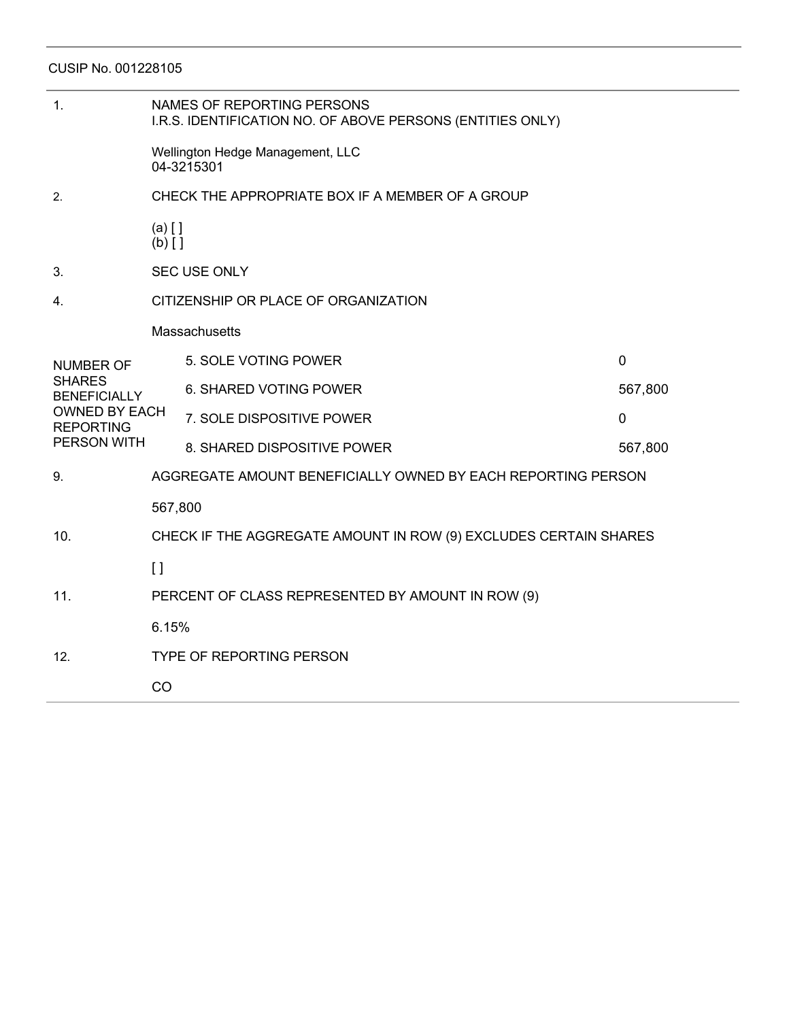CUSIP No. 001228105

| 1.                                                                                                                  | NAMES OF REPORTING PERSONS<br>I.R.S. IDENTIFICATION NO. OF ABOVE PERSONS (ENTITIES ONLY) |                               |             |  |  |  |
|---------------------------------------------------------------------------------------------------------------------|------------------------------------------------------------------------------------------|-------------------------------|-------------|--|--|--|
|                                                                                                                     | Wellington Hedge Management, LLC<br>04-3215301                                           |                               |             |  |  |  |
| 2.                                                                                                                  | CHECK THE APPROPRIATE BOX IF A MEMBER OF A GROUP                                         |                               |             |  |  |  |
|                                                                                                                     | $(a)$ $[$ $]$<br>$(b)$ []                                                                |                               |             |  |  |  |
| 3.                                                                                                                  | <b>SEC USE ONLY</b>                                                                      |                               |             |  |  |  |
| 4.                                                                                                                  | CITIZENSHIP OR PLACE OF ORGANIZATION                                                     |                               |             |  |  |  |
|                                                                                                                     | Massachusetts                                                                            |                               |             |  |  |  |
| <b>NUMBER OF</b><br><b>SHARES</b><br><b>BENEFICIALLY</b><br><b>OWNED BY EACH</b><br><b>REPORTING</b><br>PERSON WITH |                                                                                          | 5. SOLE VOTING POWER          | $\Omega$    |  |  |  |
|                                                                                                                     |                                                                                          | <b>6. SHARED VOTING POWER</b> | 567,800     |  |  |  |
|                                                                                                                     |                                                                                          | 7. SOLE DISPOSITIVE POWER     | $\mathbf 0$ |  |  |  |
|                                                                                                                     |                                                                                          | 8. SHARED DISPOSITIVE POWER   | 567,800     |  |  |  |
| 9.                                                                                                                  | AGGREGATE AMOUNT BENEFICIALLY OWNED BY EACH REPORTING PERSON                             |                               |             |  |  |  |
|                                                                                                                     | 567,800                                                                                  |                               |             |  |  |  |
| 10.                                                                                                                 | CHECK IF THE AGGREGATE AMOUNT IN ROW (9) EXCLUDES CERTAIN SHARES                         |                               |             |  |  |  |
|                                                                                                                     | $\left[\right]$                                                                          |                               |             |  |  |  |
| 11.                                                                                                                 | PERCENT OF CLASS REPRESENTED BY AMOUNT IN ROW (9)                                        |                               |             |  |  |  |
|                                                                                                                     | 6.15%                                                                                    |                               |             |  |  |  |
| 12.                                                                                                                 | <b>TYPE OF REPORTING PERSON</b>                                                          |                               |             |  |  |  |
|                                                                                                                     | CO                                                                                       |                               |             |  |  |  |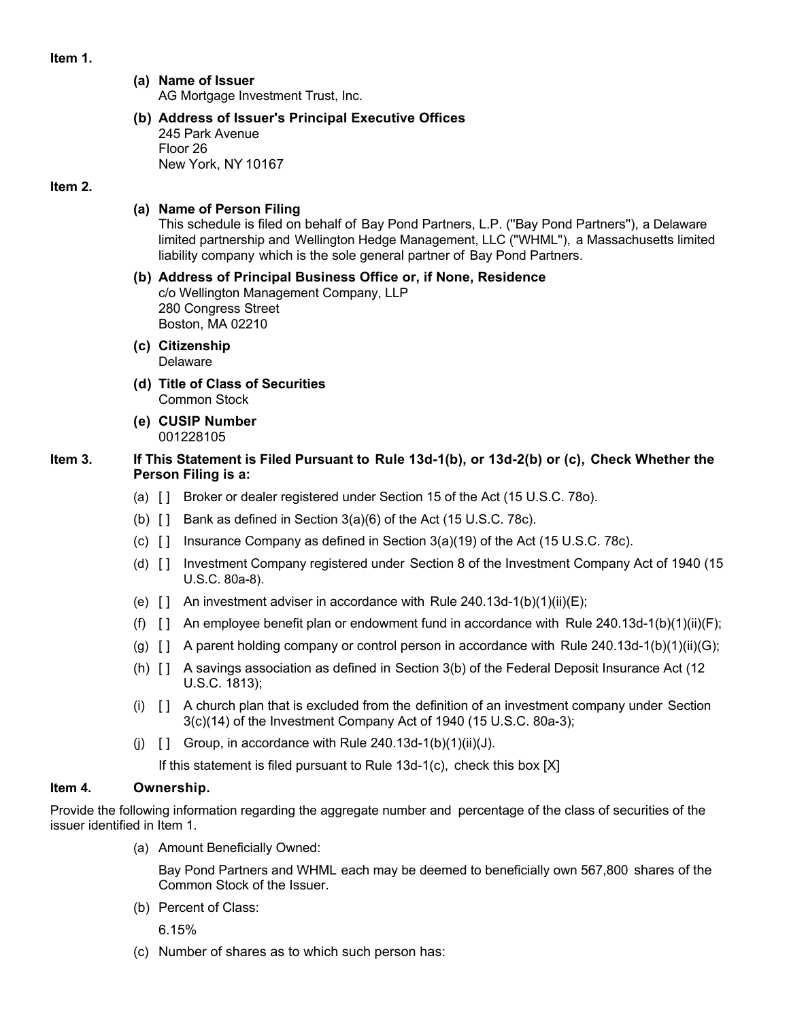**Item 1.**

# **(a) Name of Issuer**

AG Mortgage Investment Trust, Inc.

**(b) Address of Issuer's Principal Executive Offices** 245 Park Avenue Floor 26 New York, NY 10167

## **Item 2.**

# **(a) Name of Person Filing**

This schedule is filed on behalf of Bay Pond Partners, L.P. (''Bay Pond Partners''), a Delaware limited partnership and Wellington Hedge Management, LLC (''WHML''), a Massachusetts limited liability company which is the sole general partner of Bay Pond Partners.

**(b) Address of Principal Business Office or, if None, Residence** c/o Wellington Management Company, LLP 280 Congress Street Boston, MA 02210

- **(c) Citizenship** Delaware
- **(d) Title of Class of Securities** Common Stock
- **(e) CUSIP Number** 001228105

# **Item 3. If This Statement is Filed Pursuant to Rule 13d-1(b), or 13d-2(b) or (c), Check Whether the Person Filing is a:**

- (a) [ ] Broker or dealer registered under Section 15 of the Act (15 U.S.C. 78o).
- (b)  $\begin{bmatrix} 1 \\ 2 \end{bmatrix}$  Bank as defined in Section 3(a)(6) of the Act (15 U.S.C. 78c).
- (c)  $\begin{bmatrix} 1 \\ 1 \end{bmatrix}$  Insurance Company as defined in Section 3(a)(19) of the Act (15 U.S.C. 78c).
- (d) [ ] Investment Company registered under Section 8 of the Investment Company Act of 1940 (15 U.S.C. 80a-8).
- (e)  $\lceil \cdot \rceil$  An investment adviser in accordance with Rule 240.13d-1(b)(1)(ii)(E);
- (f)  $\begin{bmatrix} \end{bmatrix}$  An employee benefit plan or endowment fund in accordance with Rule 240.13d-1(b)(1)(ii)(F);
- (g)  $\lceil$  A parent holding company or control person in accordance with Rule 240.13d-1(b)(1)(ii)(G);
- (h) [ ] A savings association as defined in Section 3(b) of the Federal Deposit Insurance Act (12 U.S.C. 1813);
- $(i)$   $\begin{bmatrix} 1 \\ 4 \end{bmatrix}$  A church plan that is excluded from the definition of an investment company under Section 3(c)(14) of the Investment Company Act of 1940 (15 U.S.C. 80a-3);
- (i)  $\begin{bmatrix} 1 \\ \end{bmatrix}$  Group, in accordance with Rule 240.13d-1(b)(1)(ii)(J).

If this statement is filed pursuant to Rule 13d-1(c), check this box [X]

# **Item 4. Ownership.**

Provide the following information regarding the aggregate number and percentage of the class of securities of the issuer identified in Item 1.

(a) Amount Beneficially Owned:

Bay Pond Partners and WHML each may be deemed to beneficially own 567,800 shares of the Common Stock of the Issuer.

(b) Percent of Class:

6.15%

(c) Number of shares as to which such person has: